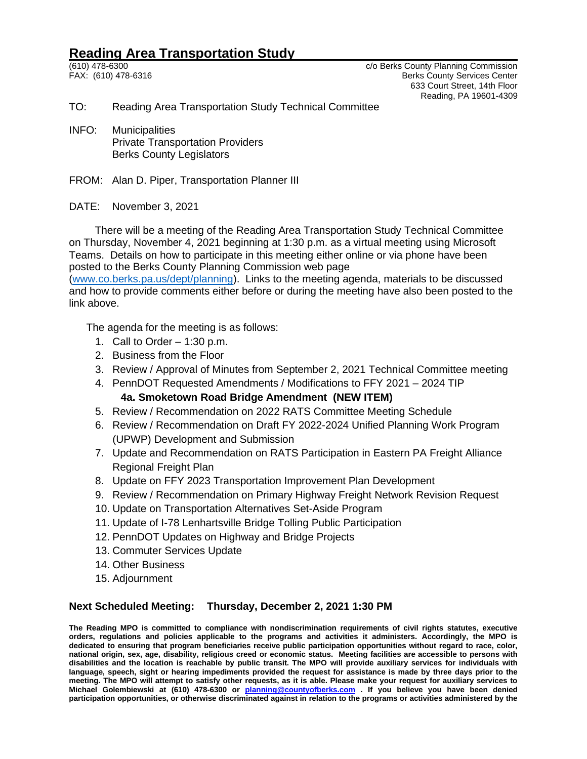## **Reading Area Transportation Study**

(610) 478-6300 c/o Berks County Planning Commission Berks County Services Center 633 Court Street, 14th Floor Reading, PA 19601-4309

- TO: Reading Area Transportation Study Technical Committee
- INFO: Municipalities Private Transportation Providers Berks County Legislators
- FROM: Alan D. Piper, Transportation Planner III
- DATE: November 3, 2021

There will be a meeting of the Reading Area Transportation Study Technical Committee on Thursday, November 4, 2021 beginning at 1:30 p.m. as a virtual meeting using Microsoft Teams. Details on how to participate in this meeting either online or via phone have been posted to the Berks County Planning Commission web page

[\(www.co.berks.pa.us/dept/planning\)](http://www.co.berks.pa.us/dept/planning). Links to the meeting agenda, materials to be discussed and how to provide comments either before or during the meeting have also been posted to the link above.

The agenda for the meeting is as follows:

- 1. Call to Order  $-1:30$  p.m.
- 2. Business from the Floor
- 3. Review / Approval of Minutes from September 2, 2021 Technical Committee meeting
- 4. PennDOT Requested Amendments / Modifications to FFY 2021 2024 TIP **4a. Smoketown Road Bridge Amendment (NEW ITEM)**
- 5. Review / Recommendation on 2022 RATS Committee Meeting Schedule
- 6. Review / Recommendation on Draft FY 2022-2024 Unified Planning Work Program (UPWP) Development and Submission
- 7. Update and Recommendation on RATS Participation in Eastern PA Freight Alliance Regional Freight Plan
- 8. Update on FFY 2023 Transportation Improvement Plan Development
- 9. Review / Recommendation on Primary Highway Freight Network Revision Request
- 10. Update on Transportation Alternatives Set-Aside Program
- 11. Update of I-78 Lenhartsville Bridge Tolling Public Participation
- 12. PennDOT Updates on Highway and Bridge Projects
- 13. Commuter Services Update
- 14. Other Business
- 15. Adjournment

## **Next Scheduled Meeting: Thursday, December 2, 2021 1:30 PM**

**The Reading MPO is committed to compliance with nondiscrimination requirements of civil rights statutes, executive orders, regulations and policies applicable to the programs and activities it administers. Accordingly, the MPO is dedicated to ensuring that program beneficiaries receive public participation opportunities without regard to race, color, national origin, sex, age, disability, religious creed or economic status. Meeting facilities are accessible to persons with disabilities and the location is reachable by public transit. The MPO will provide auxiliary services for individuals with language, speech, sight or hearing impediments provided the request for assistance is made by three days prior to the meeting. The MPO will attempt to satisfy other requests, as it is able. Please make your request for auxiliary services to Michael Golembiewski at (610) 478-6300 or [planning@countyofberks.com](mailto:planning@countyofberks.com) . If you believe you have been denied participation opportunities, or otherwise discriminated against in relation to the programs or activities administered by the**